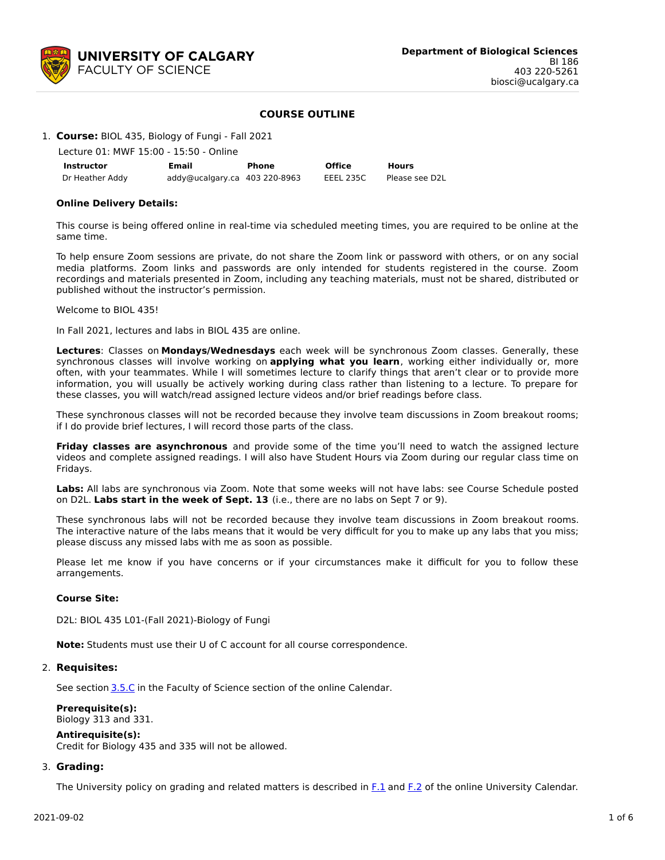

# **COURSE OUTLINE**

#### 1. **Course:** BIOL 435, Biology of Fungi - Fall 2021

| Lecture 01: MWF 15:00 - 15:50 - Online |  |  |  |
|----------------------------------------|--|--|--|
|                                        |  |  |  |

| Instructor      | Email                         | Phone | <b>Office</b> | <b>Hours</b>   |
|-----------------|-------------------------------|-------|---------------|----------------|
| Dr Heather Addy | addy@ucalgary.ca 403 220-8963 |       | EEEL 235C     | Please see D2L |

#### **Online Delivery Details:**

This course is being offered online in real-time via scheduled meeting times, you are required to be online at the same time.

To help ensure Zoom sessions are private, do not share the Zoom link or password with others, or on any social media platforms. Zoom links and passwords are only intended for students registered in the course. Zoom recordings and materials presented in Zoom, including any teaching materials, must not be shared, distributed or published without the instructor's permission.

Welcome to BIOL 435!

In Fall 2021, lectures and labs in BIOL 435 are online.

**Lectures**: Classes on **Mondays/Wednesdays** each week will be synchronous Zoom classes. Generally, these synchronous classes will involve working on **applying what you learn**, working either individually or, more often, with your teammates. While I will sometimes lecture to clarify things that aren't clear or to provide more information, you will usually be actively working during class rather than listening to a lecture. To prepare for these classes, you will watch/read assigned lecture videos and/or brief readings before class.

These synchronous classes will not be recorded because they involve team discussions in Zoom breakout rooms; if I do provide brief lectures, I will record those parts of the class.

**Friday classes are asynchronous** and provide some of the time you'll need to watch the assigned lecture videos and complete assigned readings. I will also have Student Hours via Zoom during our regular class time on Fridays.

**Labs:** All labs are synchronous via Zoom. Note that some weeks will not have labs: see Course Schedule posted on D2L. **Labs start in the week of Sept. 13** (i.e., there are no labs on Sept 7 or 9).

These synchronous labs will not be recorded because they involve team discussions in Zoom breakout rooms. The interactive nature of the labs means that it would be very difficult for you to make up any labs that you miss; please discuss any missed labs with me as soon as possible.

Please let me know if you have concerns or if your circumstances make it difficult for you to follow these arrangements.

#### **Course Site:**

D2L: BIOL 435 L01-(Fall 2021)-Biology of Fungi

**Note:** Students must use their U of C account for all course correspondence.

### 2. **Requisites:**

See section [3.5.C](http://www.ucalgary.ca/pubs/calendar/current/sc-3-5.html) in the Faculty of Science section of the online Calendar.

#### **Prerequisite(s):** Biology 313 and 331.

# **Antirequisite(s):**

Credit for Biology 435 and 335 will not be allowed.

#### 3. **Grading:**

The University policy on grading and related matters is described in  $F.1$  and  $F.2$  of the online University Calendar.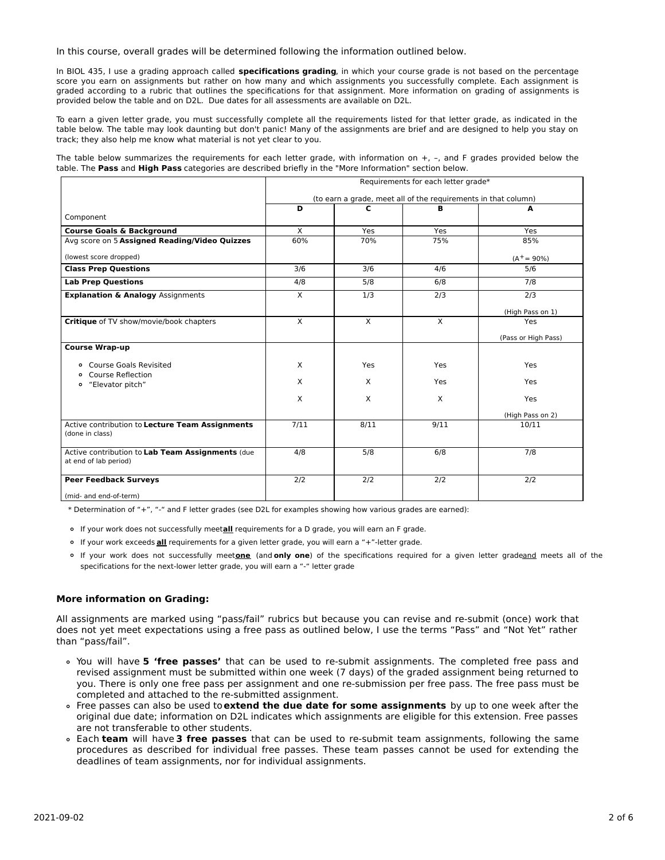In this course, overall grades will be determined following the information outlined below.

In BIOL 435, I use a grading approach called **specifications grading**, in which your course grade is not based on the percentage score you earn on assignments but rather on how many and which assignments you successfully complete. Each assignment is graded according to a rubric that outlines the specifications for that assignment. More information on grading of assignments is provided below the table and on D2L. Due dates for all assessments are available on D2L.

To earn a given letter grade, you must successfully complete all the requirements listed for that letter grade, as indicated in the table below. The table may look daunting but don't panic! Many of the assignments are brief and are designed to help you stay on track; they also help me know what material is not yet clear to you.

The table below summarizes the requirements for each letter grade, with information on  $+$ ,  $-$ , and F grades provided below the table. The **Pass** and **High Pass** categories are described briefly in the "More Information" section below.

|                                                                           | Requirements for each letter grade*<br>(to earn a grade, meet all of the requirements in that column) |      |          |                     |  |
|---------------------------------------------------------------------------|-------------------------------------------------------------------------------------------------------|------|----------|---------------------|--|
|                                                                           |                                                                                                       |      |          |                     |  |
| Component                                                                 | D                                                                                                     | c    | в        | A                   |  |
|                                                                           |                                                                                                       |      |          |                     |  |
| <b>Course Goals &amp; Background</b>                                      | X                                                                                                     | Yes  | Yes      | Yes                 |  |
| Avg score on 5 Assigned Reading/Video Quizzes                             | 60%                                                                                                   | 70%  | 75%      | 85%                 |  |
| (lowest score dropped)                                                    |                                                                                                       |      |          | $(A^+ = 90\%)$      |  |
| <b>Class Prep Questions</b>                                               | 3/6                                                                                                   | 3/6  | 4/6      | 5/6                 |  |
| <b>Lab Prep Questions</b>                                                 | 4/8                                                                                                   | 5/8  | 6/8      | 7/8                 |  |
| <b>Explanation &amp; Analogy Assignments</b>                              | X                                                                                                     | 1/3  | 2/3      | 2/3                 |  |
|                                                                           |                                                                                                       |      |          | (High Pass on 1)    |  |
| Critique of TV show/movie/book chapters                                   | X                                                                                                     | X    | $\times$ | Yes                 |  |
|                                                                           |                                                                                                       |      |          | (Pass or High Pass) |  |
| <b>Course Wrap-up</b>                                                     |                                                                                                       |      |          |                     |  |
| o Course Goals Revisited                                                  | X                                                                                                     | Yes  | Yes      | Yes                 |  |
| Course Reflection<br>$\circ$                                              |                                                                                                       |      |          |                     |  |
| "Elevator pitch"<br>$\circ$                                               | X                                                                                                     | X    | Yes      | Yes                 |  |
|                                                                           | X                                                                                                     | X    | $\times$ | Yes                 |  |
|                                                                           |                                                                                                       |      |          | (High Pass on 2)    |  |
| Active contribution to Lecture Team Assignments<br>(done in class)        | 7/11                                                                                                  | 8/11 | 9/11     | 10/11               |  |
| Active contribution to Lab Team Assignments (due<br>at end of lab period) | 4/8                                                                                                   | 5/8  | 6/8      | 7/8                 |  |
| <b>Peer Feedback Surveys</b>                                              | 2/2                                                                                                   | 2/2  | 2/2      | 2/2                 |  |
| (mid- and end-of-term)                                                    |                                                                                                       |      |          |                     |  |

\* Determination of "+", "-" and F letter grades (see D2L for examples showing how various grades are earned):

If your work does not successfully meet**all** requirements for a D grade, you will earn an F grade.

- If your work exceeds **all** requirements for a given letter grade, you will earn a "+"-letter grade.
- If your work does not successfully meet**one** (and **only one**) of the specifications required for a given letter gradeand meets all of the specifications for the next-lower letter grade, you will earn a "-" letter grade

#### **More information on Grading:**

All assignments are marked using "pass/fail" rubrics but because you can revise and re-submit (once) work that does not yet meet expectations using a free pass as outlined below, I use the terms "Pass" and "Not Yet" rather than "pass/fail".

- You will have **5 'free passes'** that can be used to re-submit assignments. The completed free pass and revised assignment must be submitted within one week (7 days) of the graded assignment being returned to you. There is only one free pass per assignment and one re-submission per free pass. The free pass must be completed and attached to the re-submitted assignment.
- Free passes can also be used to**extend the due date for some assignments** by up to one week after the original due date; information on D2L indicates which assignments are eligible for this extension. Free passes are not transferable to other students.
- Each **team** will have **3 free passes** that can be used to re-submit team assignments, following the same procedures as described for individual free passes. These team passes cannot be used for extending the deadlines of team assignments, nor for individual assignments.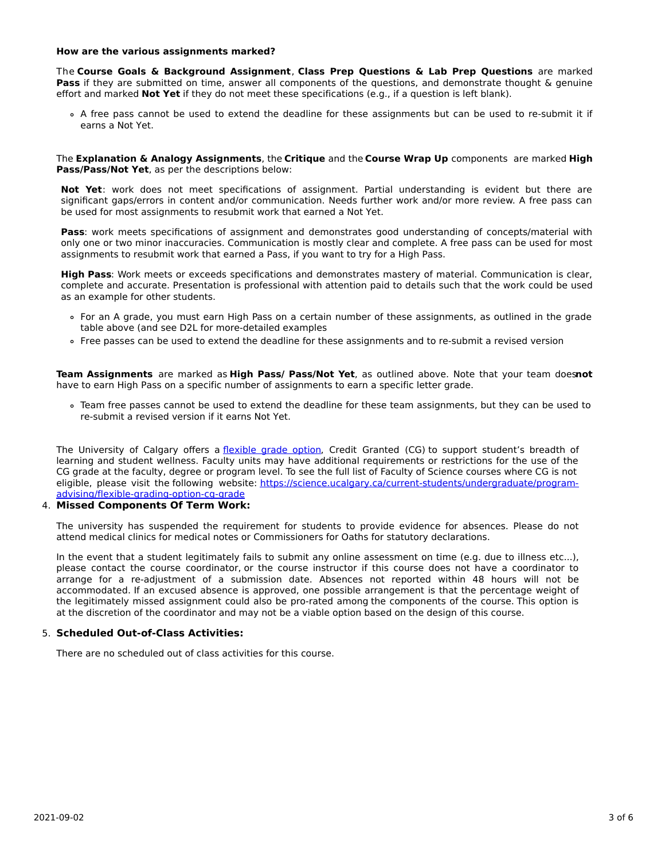#### **How are the various assignments marked?**

The **Course Goals & Background Assignment**, **Class Prep Questions & Lab Prep Questions** are marked **Pass** if they are submitted on time, answer all components of the questions, and demonstrate thought & genuine effort and marked **Not Yet** if they do not meet these specifications (e.g., if a question is left blank).

A free pass cannot be used to extend the deadline for these assignments but can be used to re-submit it if earns a Not Yet.

The **Explanation & Analogy Assignments**, the **Critique** and the **Course Wrap Up** components are marked **High Pass/Pass/Not Yet**, as per the descriptions below:

**Not Yet**: work does not meet specifications of assignment. Partial understanding is evident but there are significant gaps/errors in content and/or communication. Needs further work and/or more review. A free pass can be used for most assignments to resubmit work that earned a Not Yet.

**Pass**: work meets specifications of assignment and demonstrates good understanding of concepts/material with only one or two minor inaccuracies. Communication is mostly clear and complete. A free pass can be used for most assignments to resubmit work that earned a Pass, if you want to try for a High Pass.

**High Pass**: Work meets or exceeds specifications and demonstrates mastery of material. Communication is clear, complete and accurate. Presentation is professional with attention paid to details such that the work could be used as an example for other students.

- For an A grade, you must earn High Pass on a certain number of these assignments, as outlined in the grade table above (and see D2L for more-detailed examples
- Free passes can be used to extend the deadline for these assignments and to re-submit a revised version

**Team Assignments** are marked as **High Pass/ Pass/Not Yet**, as outlined above. Note that your team does**not** have to earn High Pass on a specific number of assignments to earn a specific letter grade.

Team free passes cannot be used to extend the deadline for these team assignments, but they can be used to re-submit a revised version if it earns Not Yet.

The University of Calgary offers a [flexible](https://www.ucalgary.ca/pubs/calendar/current/f-1-3.html) grade option, Credit Granted (CG) to support student's breadth of learning and student wellness. Faculty units may have additional requirements or restrictions for the use of the CG grade at the faculty, degree or program level. To see the full list of Faculty of Science courses where CG is not eligible, please visit the following website: [https://science.ucalgary.ca/current-students/undergraduate/program](https://science.ucalgary.ca/current-students/undergraduate/program-advising/flexible-grading-option-cg-grade)advising/flexible-grading-option-cg-grade

### 4. **Missed Components Of Term Work:**

The university has suspended the requirement for students to provide evidence for absences. Please do not attend medical clinics for medical notes or Commissioners for Oaths for statutory declarations.

In the event that a student legitimately fails to submit any online assessment on time (e.g. due to illness etc...), please contact the course coordinator, or the course instructor if this course does not have a coordinator to arrange for a re-adjustment of a submission date. Absences not reported within 48 hours will not be accommodated. If an excused absence is approved, one possible arrangement is that the percentage weight of the legitimately missed assignment could also be pro-rated among the components of the course. This option is at the discretion of the coordinator and may not be a viable option based on the design of this course.

#### 5. **Scheduled Out-of-Class Activities:**

There are no scheduled out of class activities for this course.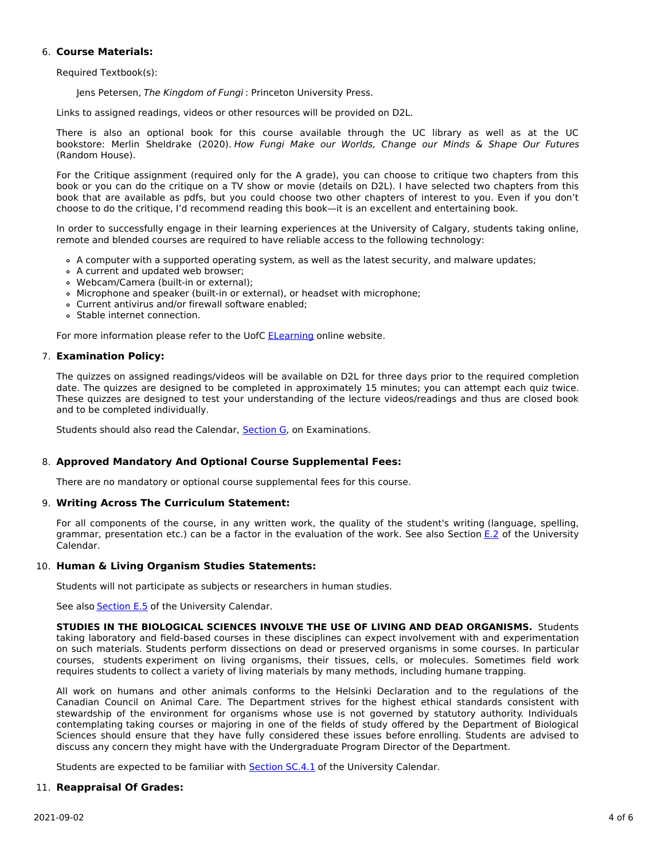# 6. **Course Materials:**

Required Textbook(s):

Jens Petersen, The Kingdom of Fungi : Princeton University Press.

Links to assigned readings, videos or other resources will be provided on D2L.

There is also an optional book for this course available through the UC library as well as at the UC bookstore: Merlin Sheldrake (2020). How Fungi Make our Worlds, Change our Minds & Shape Our Futures (Random House).

For the Critique assignment (required only for the A grade), you can choose to critique two chapters from this book or you can do the critique on a TV show or movie (details on D2L). I have selected two chapters from this book that are available as pdfs, but you could choose two other chapters of interest to you. Even if you don't choose to do the critique, I'd recommend reading this book—it is an excellent and entertaining book.

In order to successfully engage in their learning experiences at the University of Calgary, students taking online, remote and blended courses are required to have reliable access to the following technology:

- A computer with a supported operating system, as well as the latest security, and malware updates;
- A current and updated web browser;
- Webcam/Camera (built-in or external);
- Microphone and speaker (built-in or external), or headset with microphone;
- Current antivirus and/or firewall software enabled;
- Stable internet connection.

For more information please refer to the UofC [ELearning](https://elearn.ucalgary.ca/technology-requirements-for-students) online website.

# 7. **Examination Policy:**

The quizzes on assigned readings/videos will be available on D2L for three days prior to the required completion date. The quizzes are designed to be completed in approximately 15 minutes; you can attempt each quiz twice. These quizzes are designed to test your understanding of the lecture videos/readings and thus are closed book and to be completed individually.

Students should also read the Calendar, **[Section](http://www.ucalgary.ca/pubs/calendar/current/g.html) G**, on Examinations.

# 8. **Approved Mandatory And Optional Course Supplemental Fees:**

There are no mandatory or optional course supplemental fees for this course.

# 9. **Writing Across The Curriculum Statement:**

For all components of the course, in any written work, the quality of the student's writing (language, spelling, grammar, presentation etc.) can be a factor in the evaluation of the work. See also Section [E.2](http://www.ucalgary.ca/pubs/calendar/current/e-2.html) of the University Calendar.

# 10. **Human & Living Organism Studies Statements:**

Students will not participate as subjects or researchers in human studies.

See also [Section](http://www.ucalgary.ca/pubs/calendar/current/e-5.html) E.5 of the University Calendar.

**STUDIES IN THE BIOLOGICAL SCIENCES INVOLVE THE USE OF LIVING AND DEAD ORGANISMS.** Students taking laboratory and field-based courses in these disciplines can expect involvement with and experimentation on such materials. Students perform dissections on dead or preserved organisms in some courses. In particular courses, students experiment on living organisms, their tissues, cells, or molecules. Sometimes field work requires students to collect a variety of living materials by many methods, including humane trapping.

All work on humans and other animals conforms to the Helsinki Declaration and to the regulations of the Canadian Council on Animal Care. The Department strives for the highest ethical standards consistent with stewardship of the environment for organisms whose use is not governed by statutory authority. Individuals contemplating taking courses or majoring in one of the fields of study offered by the Department of Biological Sciences should ensure that they have fully considered these issues before enrolling. Students are advised to discuss any concern they might have with the Undergraduate Program Director of the Department.

Students are expected to be familiar with **[Section](http://www.ucalgary.ca/pubs/calendar/current/sc-4-1.html) SC.4.1** of the University Calendar.

# 11. **Reappraisal Of Grades:**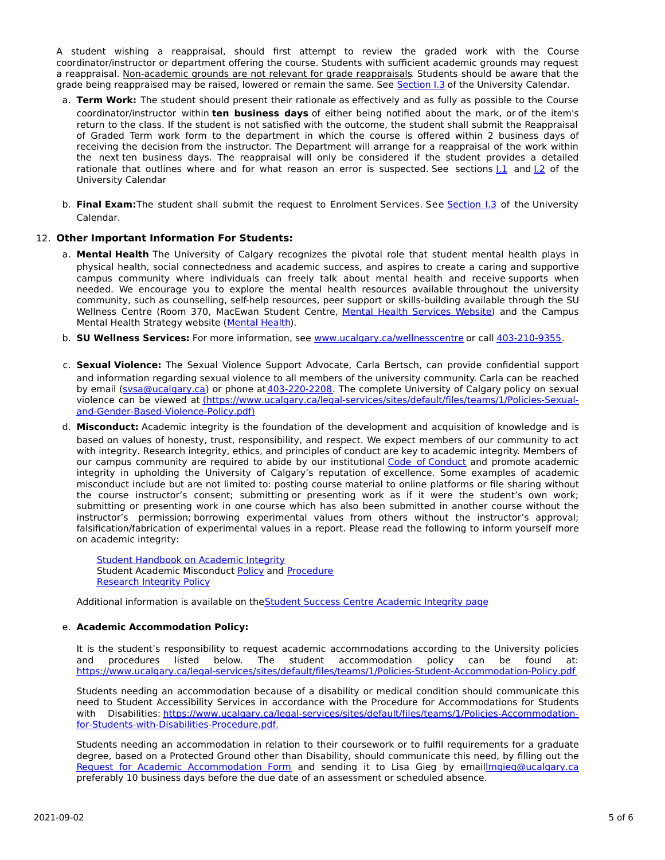A student wishing a reappraisal, should first attempt to review the graded work with the Course coordinator/instructor or department offering the course. Students with sufficient academic grounds may request a reappraisal. Non-academic grounds are not relevant for grade reappraisals. Students should be aware that the grade being reappraised may be raised, lowered or remain the same. See [Section](http://www.ucalgary.ca/pubs/calendar/current/i-3.html) I.3 of the University Calendar.

- a. **Term Work:** The student should present their rationale as effectively and as fully as possible to the Course coordinator/instructor within **ten business days** of either being notified about the mark, or of the item's return to the class. If the student is not satisfied with the outcome, the student shall submit the Reappraisal of Graded Term work form to the department in which the course is offered within 2 business days of receiving the decision from the instructor. The Department will arrange for a reappraisal of the work within the next ten business days. The reappraisal will only be considered if the student provides a detailed rationale that outlines where and for what reason an error is suspected. See sections [I.1](http://www.ucalgary.ca/pubs/calendar/current/i-1.html) and [I.2](http://www.ucalgary.ca/pubs/calendar/current/i-2.html) of the University Calendar
- b. **Final Exam:**The student shall submit the request to Enrolment Services. See [Section](http://www.ucalgary.ca/pubs/calendar/current/i-3.html) I.3 of the University Calendar.

# 12. **Other Important Information For Students:**

- a. **Mental Health** The University of Calgary recognizes the pivotal role that student mental health plays in physical health, social connectedness and academic success, and aspires to create a caring and supportive campus community where individuals can freely talk about mental health and receive supports when needed. We encourage you to explore the mental health resources available throughout the university community, such as counselling, self-help resources, peer support or skills-building available through the SU Wellness Centre (Room 370, MacEwan Student Centre, Mental Health [Services](https://www.ucalgary.ca/wellnesscentre/services/mental-health-services) Website) and the Campus Mental Health Strategy website [\(Mental](http://www.ucalgary.ca/mentalhealth) Health).
- b. **SU Wellness Services:** For more information, see [www.ucalgary.ca/wellnesscentre](http://www.ucalgary.ca/wellnesscentre) or call [403-210-9355.](tel:4032109355)
- c. **Sexual Violence:** The Sexual Violence Support Advocate, Carla Bertsch, can provide confidential support and information regarding sexual violence to all members of the university community. Carla can be reached by email [\(svsa@ucalgary.ca](mailto:svsa@ucalgary.ca)) or phone at [403-220-2208](tel:4032202208). The complete University of Calgary policy on sexual violence can be viewed at [\(https://www.ucalgary.ca/legal-services/sites/default/files/teams/1/Policies-Sexual](https://www.ucalgary.ca/legal-services/sites/default/files/teams/1/Policies-Sexual-and-Gender-Based-Violence-Policy.pdf)and-Gender-Based-Violence-Policy.pdf)
- d. **Misconduct:** Academic integrity is the foundation of the development and acquisition of knowledge and is based on values of honesty, trust, responsibility, and respect. We expect members of our community to act with integrity. Research integrity, ethics, and principles of conduct are key to academic integrity. Members of our campus community are required to abide by our institutional Code of [Conduct](https://www.ucalgary.ca/legal-services/sites/default/files/teams/1/Policies-Code-of-Conduct.pdf) and promote academic integrity in upholding the University of Calgary's reputation of excellence. Some examples of academic misconduct include but are not limited to: posting course material to online platforms or file sharing without the course instructor's consent; submitting or presenting work as if it were the student's own work; submitting or presenting work in one course which has also been submitted in another course without the instructor's permission; borrowing experimental values from others without the instructor's approval; falsification/fabrication of experimental values in a report. Please read the following to inform yourself more on academic integrity:

Student [Handbook](https://www.ucalgary.ca/live-uc-ucalgary-site/sites/default/files/teams/9/AI-Student-handbook-1.pdf) on Academic Integrity Student Academic Misconduct [Policy](https://www.ucalgary.ca/legal-services/sites/default/files/teams/1/Policies-Student-Academic-Misconduct-Policy.pdf) and [Procedure](https://www.ucalgary.ca/legal-services/sites/default/files/teams/1/Policies-Student-Academic-Misconduct-Procedure.pdf) [Research](https://www.ucalgary.ca/legal-services/sites/default/files/teams/1/Policies-Research-Integrity-Policy.pdf) Integrity Policy

Additional information is available on theStudent Success Centre [Academic](https://ucalgary.ca/student-services/student-success/learning/academic-integrity) Integrity page

# e. **Academic Accommodation Policy:**

It is the student's responsibility to request academic accommodations according to the University policies and procedures listed below. The student accommodation policy can be found at: <https://www.ucalgary.ca/legal-services/sites/default/files/teams/1/Policies-Student-Accommodation-Policy.pdf>

Students needing an accommodation because of a disability or medical condition should communicate this need to Student Accessibility Services in accordance with the Procedure for Accommodations for Students with Disabilities: [https://www.ucalgary.ca/legal-services/sites/default/files/teams/1/Policies-Accommodation](https://www.ucalgary.ca/legal-services/sites/default/files/teams/1/Policies-Accommodation-for-Students-with-Disabilities-Procedure.pdf)for-Students-with-Disabilities-Procedure.pdf.

Students needing an accommodation in relation to their coursework or to fulfil requirements for a graduate degree, based on a Protected Ground other than Disability, should communicate this need, by filling out the Request for Academic [Accommodation](https://science.ucalgary.ca/sites/default/files/teams/1/request-accommodation-academic-courses.pdf) Form and sending it to Lisa Gieg by emai[llmgieg@ucalgary.ca](mailto:lmgieg@ucalgary.ca) preferably 10 business days before the due date of an assessment or scheduled absence.